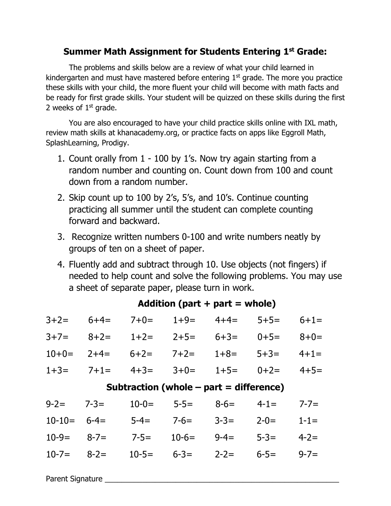## **Summer Math Assignment for Students Entering 1st Grade:**

The problems and skills below are a review of what your child learned in kindergarten and must have mastered before entering  $1<sup>st</sup>$  grade. The more you practice these skills with your child, the more fluent your child will become with math facts and be ready for first grade skills. Your student will be quizzed on these skills during the first 2 weeks of  $1<sup>st</sup>$  grade.

You are also encouraged to have your child practice skills online with IXL math, review math skills at khanacademy.org, or practice facts on apps like Eggroll Math, SplashLearning, Prodigy.

- 1. Count orally from 1 100 by 1's. Now try again starting from a random number and counting on. Count down from 100 and count down from a random number.
- 2. Skip count up to 100 by 2's, 5's, and 10's. Continue counting practicing all summer until the student can complete counting forward and backward.
- 3. Recognize written numbers 0-100 and write numbers neatly by groups of ten on a sheet of paper.
- 4. Fluently add and subtract through 10. Use objects (not fingers) if needed to help count and solve the following problems. You may use a sheet of separate paper, please turn in work.

| $3+2=$                                    | $6+4=$    | $7 + 0 =$ | $1+9=$    | $4+4=$    | $5+5=$    | $6 + 1 =$ |  |  |  |  |  |
|-------------------------------------------|-----------|-----------|-----------|-----------|-----------|-----------|--|--|--|--|--|
| $3+7=$                                    | $8 + 2 =$ | $1+2=$    | $2+5=$    | $6 + 3 =$ | $0+5=$    | $8 + 0 =$ |  |  |  |  |  |
| $10+0=$                                   | $2+4=$    | $6+2=$    | $7+2=$    | $1+8=$    | $5 + 3 =$ | $4+1=$    |  |  |  |  |  |
| $1+3=$                                    | $7 + 1 =$ | $4 + 3 =$ | $3+0=$    | $1+5=$    | $0+2=$    | $4+5=$    |  |  |  |  |  |
| Subtraction (whole $-$ part = difference) |           |           |           |           |           |           |  |  |  |  |  |
| $9 - 2 =$                                 | $7 - 3 =$ | $10-0=$   | $5 - 5 =$ | $8 - 6 =$ | $4 - 1 =$ | $7 - 7 =$ |  |  |  |  |  |
| $10-10=$                                  | $6 - 4 =$ | $5 - 4 =$ | $7 - 6 =$ | $3 - 3 =$ | $2 - 0 =$ | $1 - 1 =$ |  |  |  |  |  |
| $10-9=$                                   | $8 - 7 =$ | $7 - 5 =$ | $10-6=$   | $9 - 4 =$ | $5 - 3 =$ | $4 - 2 =$ |  |  |  |  |  |
| $10 - 7 =$                                | $8 - 2 =$ | $10-5=$   | $6 - 3 =$ | $2 - 2 =$ | $6 - 5 =$ | $9 - 7 =$ |  |  |  |  |  |

## **Addition (part + part = whole)**